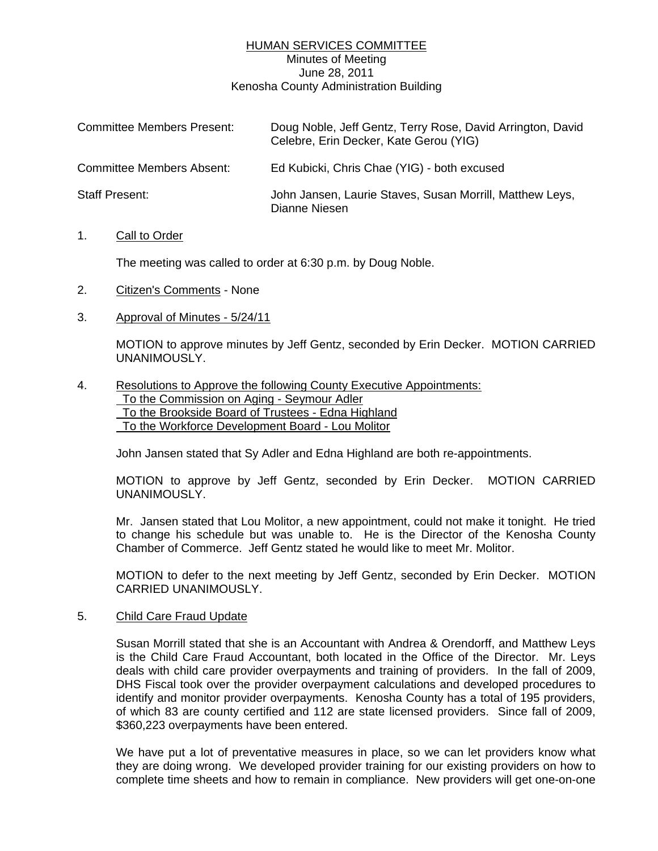# HUMAN SERVICES COMMITTEE Minutes of Meeting June 28, 2011 Kenosha County Administration Building

| <b>Committee Members Present:</b> | Doug Noble, Jeff Gentz, Terry Rose, David Arrington, David<br>Celebre, Erin Decker, Kate Gerou (YIG) |
|-----------------------------------|------------------------------------------------------------------------------------------------------|
| Committee Members Absent:         | Ed Kubicki, Chris Chae (YIG) - both excused                                                          |
| Staff Present:                    | John Jansen, Laurie Staves, Susan Morrill, Matthew Leys,<br>Dianne Niesen                            |

## 1. Call to Order

The meeting was called to order at 6:30 p.m. by Doug Noble.

- 2. Citizen's Comments None
- 3. Approval of Minutes 5/24/11

 MOTION to approve minutes by Jeff Gentz, seconded by Erin Decker. MOTION CARRIED UNANIMOUSLY.

### 4. Resolutions to Approve the following County Executive Appointments: To the Commission on Aging - Seymour Adler To the Brookside Board of Trustees - Edna Highland To the Workforce Development Board - Lou Molitor

John Jansen stated that Sy Adler and Edna Highland are both re-appointments.

 MOTION to approve by Jeff Gentz, seconded by Erin Decker. MOTION CARRIED UNANIMOUSLY.

 Mr. Jansen stated that Lou Molitor, a new appointment, could not make it tonight. He tried to change his schedule but was unable to. He is the Director of the Kenosha County Chamber of Commerce. Jeff Gentz stated he would like to meet Mr. Molitor.

 MOTION to defer to the next meeting by Jeff Gentz, seconded by Erin Decker. MOTION CARRIED UNANIMOUSLY.

## 5. Child Care Fraud Update

 Susan Morrill stated that she is an Accountant with Andrea & Orendorff, and Matthew Leys is the Child Care Fraud Accountant, both located in the Office of the Director. Mr. Leys deals with child care provider overpayments and training of providers. In the fall of 2009, DHS Fiscal took over the provider overpayment calculations and developed procedures to identify and monitor provider overpayments. Kenosha County has a total of 195 providers, of which 83 are county certified and 112 are state licensed providers. Since fall of 2009, \$360,223 overpayments have been entered.

 We have put a lot of preventative measures in place, so we can let providers know what they are doing wrong. We developed provider training for our existing providers on how to complete time sheets and how to remain in compliance. New providers will get one-on-one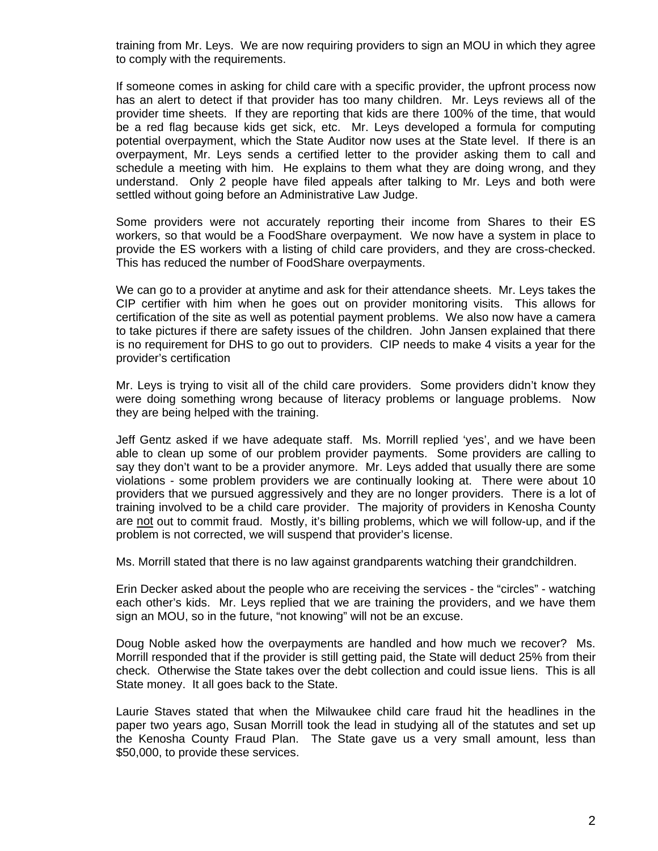training from Mr. Leys. We are now requiring providers to sign an MOU in which they agree to comply with the requirements.

 If someone comes in asking for child care with a specific provider, the upfront process now has an alert to detect if that provider has too many children. Mr. Leys reviews all of the provider time sheets. If they are reporting that kids are there 100% of the time, that would be a red flag because kids get sick, etc. Mr. Leys developed a formula for computing potential overpayment, which the State Auditor now uses at the State level. If there is an overpayment, Mr. Leys sends a certified letter to the provider asking them to call and schedule a meeting with him. He explains to them what they are doing wrong, and they understand. Only 2 people have filed appeals after talking to Mr. Leys and both were settled without going before an Administrative Law Judge.

 Some providers were not accurately reporting their income from Shares to their ES workers, so that would be a FoodShare overpayment. We now have a system in place to provide the ES workers with a listing of child care providers, and they are cross-checked. This has reduced the number of FoodShare overpayments.

 We can go to a provider at anytime and ask for their attendance sheets. Mr. Leys takes the CIP certifier with him when he goes out on provider monitoring visits. This allows for certification of the site as well as potential payment problems. We also now have a camera to take pictures if there are safety issues of the children. John Jansen explained that there is no requirement for DHS to go out to providers. CIP needs to make 4 visits a year for the provider's certification

 Mr. Leys is trying to visit all of the child care providers. Some providers didn't know they were doing something wrong because of literacy problems or language problems. Now they are being helped with the training.

 Jeff Gentz asked if we have adequate staff. Ms. Morrill replied 'yes', and we have been able to clean up some of our problem provider payments. Some providers are calling to say they don't want to be a provider anymore. Mr. Leys added that usually there are some violations - some problem providers we are continually looking at. There were about 10 providers that we pursued aggressively and they are no longer providers. There is a lot of training involved to be a child care provider. The majority of providers in Kenosha County are not out to commit fraud. Mostly, it's billing problems, which we will follow-up, and if the problem is not corrected, we will suspend that provider's license.

Ms. Morrill stated that there is no law against grandparents watching their grandchildren.

 Erin Decker asked about the people who are receiving the services - the "circles" - watching each other's kids. Mr. Leys replied that we are training the providers, and we have them sign an MOU, so in the future, "not knowing" will not be an excuse.

 Doug Noble asked how the overpayments are handled and how much we recover? Ms. Morrill responded that if the provider is still getting paid, the State will deduct 25% from their check. Otherwise the State takes over the debt collection and could issue liens. This is all State money. It all goes back to the State.

 Laurie Staves stated that when the Milwaukee child care fraud hit the headlines in the paper two years ago, Susan Morrill took the lead in studying all of the statutes and set up the Kenosha County Fraud Plan. The State gave us a very small amount, less than \$50,000, to provide these services.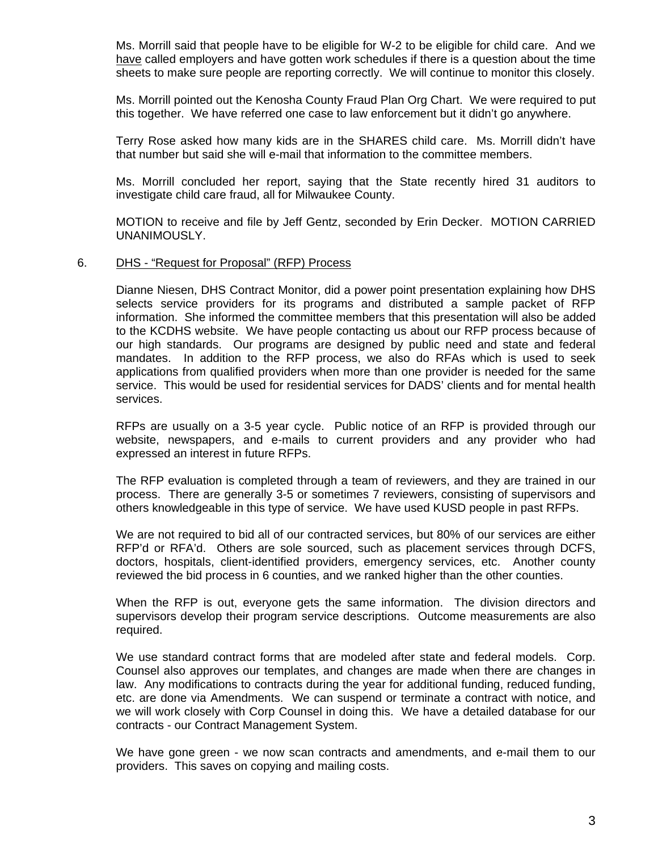Ms. Morrill said that people have to be eligible for W-2 to be eligible for child care. And we have called employers and have gotten work schedules if there is a question about the time sheets to make sure people are reporting correctly. We will continue to monitor this closely.

 Ms. Morrill pointed out the Kenosha County Fraud Plan Org Chart. We were required to put this together. We have referred one case to law enforcement but it didn't go anywhere.

 Terry Rose asked how many kids are in the SHARES child care. Ms. Morrill didn't have that number but said she will e-mail that information to the committee members.

 Ms. Morrill concluded her report, saying that the State recently hired 31 auditors to investigate child care fraud, all for Milwaukee County.

 MOTION to receive and file by Jeff Gentz, seconded by Erin Decker. MOTION CARRIED UNANIMOUSLY.

#### 6. DHS - "Request for Proposal" (RFP) Process

 Dianne Niesen, DHS Contract Monitor, did a power point presentation explaining how DHS selects service providers for its programs and distributed a sample packet of RFP information. She informed the committee members that this presentation will also be added to the KCDHS website. We have people contacting us about our RFP process because of our high standards. Our programs are designed by public need and state and federal mandates. In addition to the RFP process, we also do RFAs which is used to seek applications from qualified providers when more than one provider is needed for the same service. This would be used for residential services for DADS' clients and for mental health services.

 RFPs are usually on a 3-5 year cycle. Public notice of an RFP is provided through our website, newspapers, and e-mails to current providers and any provider who had expressed an interest in future RFPs.

 The RFP evaluation is completed through a team of reviewers, and they are trained in our process. There are generally 3-5 or sometimes 7 reviewers, consisting of supervisors and others knowledgeable in this type of service. We have used KUSD people in past RFPs.

 We are not required to bid all of our contracted services, but 80% of our services are either RFP'd or RFA'd. Others are sole sourced, such as placement services through DCFS, doctors, hospitals, client-identified providers, emergency services, etc. Another county reviewed the bid process in 6 counties, and we ranked higher than the other counties.

 When the RFP is out, everyone gets the same information. The division directors and supervisors develop their program service descriptions. Outcome measurements are also required.

 We use standard contract forms that are modeled after state and federal models. Corp. Counsel also approves our templates, and changes are made when there are changes in law. Any modifications to contracts during the year for additional funding, reduced funding, etc. are done via Amendments. We can suspend or terminate a contract with notice, and we will work closely with Corp Counsel in doing this. We have a detailed database for our contracts - our Contract Management System.

 We have gone green - we now scan contracts and amendments, and e-mail them to our providers. This saves on copying and mailing costs.